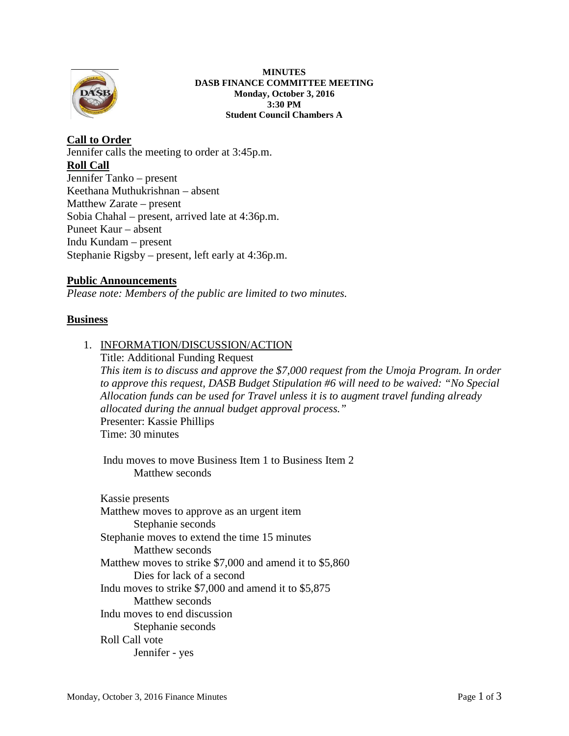

#### **MINUTES DASB FINANCE COMMITTEE MEETING Monday, October 3, 2016 3:30 PM Student Council Chambers A**

# **Call to Order** Jennifer calls the meeting to order at 3:45p.m. **Roll Call** Jennifer Tanko – present Keethana Muthukrishnan – absent Matthew Zarate – present Sobia Chahal – present, arrived late at 4:36p.m. Puneet Kaur – absent Indu Kundam – present Stephanie Rigsby – present, left early at 4:36p.m.

# **Public Announcements**

*Please note: Members of the public are limited to two minutes.* 

# **Business**

#### 1. INFORMATION/DISCUSSION/ACTION

Title: Additional Funding Request *This item is to discuss and approve the \$7,000 request from the Umoja Program. In order to approve this request, DASB Budget Stipulation #6 will need to be waived: "No Special Allocation funds can be used for Travel unless it is to augment travel funding already allocated during the annual budget approval process."* Presenter: Kassie Phillips Time: 30 minutes

Indu moves to move Business Item 1 to Business Item 2 Matthew seconds

Kassie presents Matthew moves to approve as an urgent item Stephanie seconds Stephanie moves to extend the time 15 minutes Matthew seconds Matthew moves to strike \$7,000 and amend it to \$5,860 Dies for lack of a second Indu moves to strike \$7,000 and amend it to \$5,875 Matthew seconds Indu moves to end discussion Stephanie seconds Roll Call vote Jennifer - yes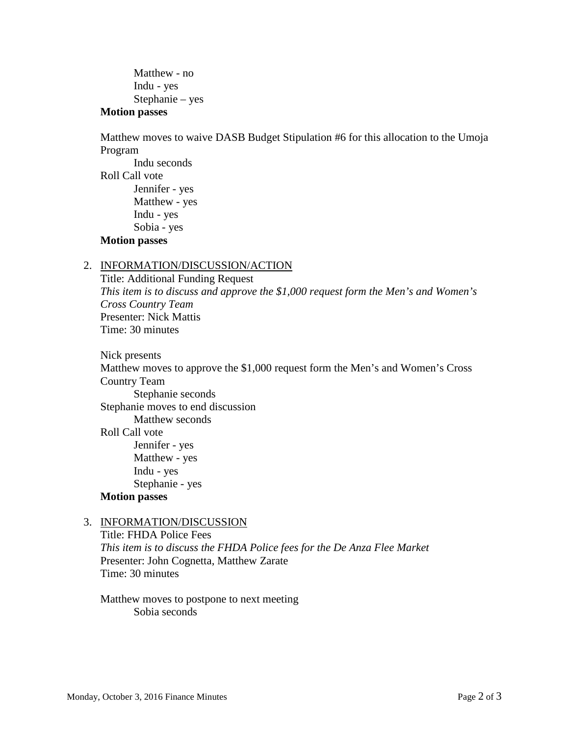Matthew - no Indu - yes Stephanie – yes

#### **Motion passes**

Matthew moves to waive DASB Budget Stipulation #6 for this allocation to the Umoja Program

Indu seconds Roll Call vote Jennifer - yes Matthew - yes Indu - yes Sobia - yes

# **Motion passes**

### 2. INFORMATION/DISCUSSION/ACTION

Title: Additional Funding Request *This item is to discuss and approve the \$1,000 request form the Men's and Women's Cross Country Team* Presenter: Nick Mattis Time: 30 minutes

Nick presents Matthew moves to approve the \$1,000 request form the Men's and Women's Cross Country Team Stephanie seconds Stephanie moves to end discussion Matthew seconds Roll Call vote Jennifer - yes Matthew - yes Indu - yes Stephanie - yes **Motion passes**

#### 3. INFORMATION/DISCUSSION

Title: FHDA Police Fees *This item is to discuss the FHDA Police fees for the De Anza Flee Market* Presenter: John Cognetta, Matthew Zarate Time: 30 minutes

Matthew moves to postpone to next meeting Sobia seconds